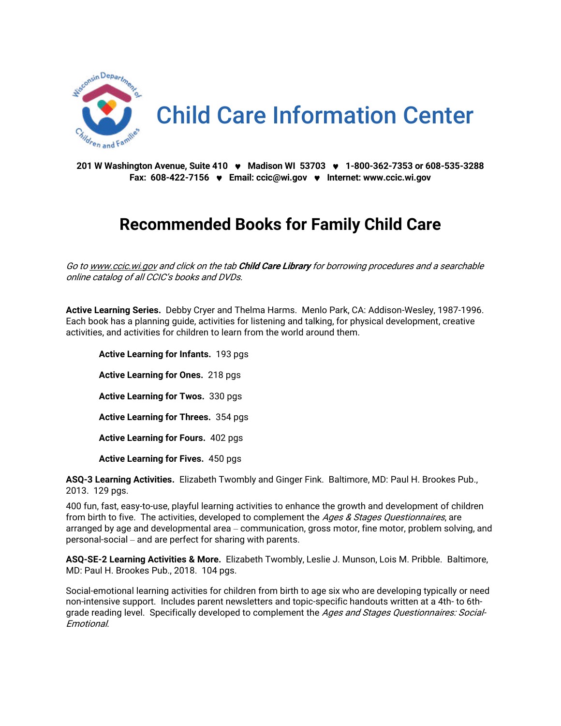

**201 W Washington Avenue, Suite 410 Madison WI 53703 1-800-362-7353 or 608-535-3288 Fax: 608-422-7156 Email: [ccic@wi.gov](mailto:ccic@wi.gov)  Internet[: www.ccic.wi.gov](http://www.ccic.wi.gov/)**

## **Recommended Books for Family Child Care**

Go t[o www.ccic.wi.gov](http://www.ccic.wi.gov/) and click on the tab **Child Care Library** for borrowing procedures and a searchable online catalog of all CCIC's books and DVDs.

**Active Learning Series.** Debby Cryer and Thelma Harms. Menlo Park, CA: Addison-Wesley, 1987-1996. Each book has a planning guide, activities for listening and talking, for physical development, creative activities, and activities for children to learn from the world around them.

**Active Learning for Infants.** 193 pgs **Active Learning for Ones.** 218 pgs **Active Learning for Twos.** 330 pgs **Active Learning for Threes.** 354 pgs **Active Learning for Fours.** 402 pgs **Active Learning for Fives.** 450 pgs

**ASQ-3 Learning Activities.** Elizabeth Twombly and Ginger Fink. Baltimore, MD: Paul H. Brookes Pub., 2013. 129 pgs.

400 fun, fast, easy-to-use, playful learning activities to enhance the growth and development of children from birth to five. The activities, developed to complement the *Ages & Stages Questionnaires*, are arranged by age and developmental area – communication, gross motor, fine motor, problem solving, and personal-social – and are perfect for sharing with parents.

**ASQ-SE-2 Learning Activities & More.** Elizabeth Twombly, Leslie J. Munson, Lois M. Pribble. Baltimore, MD: Paul H. Brookes Pub., 2018. 104 pgs.

Social-emotional learning activities for children from birth to age six who are developing typically or need non-intensive support. Includes parent newsletters and topic-specific handouts written at a 4th- to 6thgrade reading level. Specifically developed to complement the Ages and Stages Questionnaires: Social-Emotional.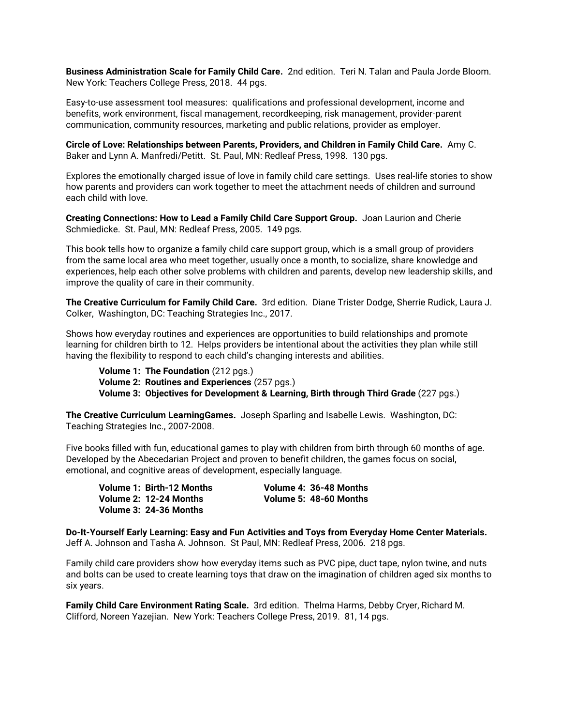**Business Administration Scale for Family Child Care.** 2nd edition. Teri N. Talan and Paula Jorde Bloom. New York: Teachers College Press, 2018. 44 pgs.

Easy-to-use assessment tool measures: qualifications and professional development, income and benefits, work environment, fiscal management, recordkeeping, risk management, provider-parent communication, community resources, marketing and public relations, provider as employer.

**Circle of Love: Relationships between Parents, Providers, and Children in Family Child Care.** Amy C. Baker and Lynn A. Manfredi/Petitt. St. Paul, MN: Redleaf Press, 1998. 130 pgs.

Explores the emotionally charged issue of love in family child care settings. Uses real-life stories to show how parents and providers can work together to meet the attachment needs of children and surround each child with love.

**Creating Connections: How to Lead a Family Child Care Support Group.** Joan Laurion and Cherie Schmiedicke. St. Paul, MN: Redleaf Press, 2005. 149 pgs.

This book tells how to organize a family child care support group, which is a small group of providers from the same local area who meet together, usually once a month, to socialize, share knowledge and experiences, help each other solve problems with children and parents, develop new leadership skills, and improve the quality of care in their community.

**The Creative Curriculum for Family Child Care.** 3rd edition. Diane Trister Dodge, Sherrie Rudick, Laura J. Colker, Washington, DC: Teaching Strategies Inc., 2017.

Shows how everyday routines and experiences are opportunities to build relationships and promote learning for children birth to 12. Helps providers be intentional about the activities they plan while still having the flexibility to respond to each child's changing interests and abilities.

**Volume 1: The Foundation** (212 pgs.) **Volume 2: Routines and Experiences** (257 pgs.) **Volume 3: Objectives for Development & Learning, Birth through Third Grade** (227 pgs.)

**The Creative Curriculum LearningGames.** Joseph Sparling and Isabelle Lewis. Washington, DC: Teaching Strategies Inc., 2007-2008.

Five books filled with fun, educational games to play with children from birth through 60 months of age. Developed by the Abecedarian Project and proven to benefit children, the games focus on social, emotional, and cognitive areas of development, especially language.

**Volume 1: Birth-12 Months Volume 4: 36-48 Months Volume 2: 12-24 Months Volume 5: 48-60 Months Volume 3: 24-36 Months**

**Do-It-Yourself Early Learning: Easy and Fun Activities and Toys from Everyday Home Center Materials.** Jeff A. Johnson and Tasha A. Johnson. St Paul, MN: Redleaf Press, 2006. 218 pgs.

Family child care providers show how everyday items such as PVC pipe, duct tape, nylon twine, and nuts and bolts can be used to create learning toys that draw on the imagination of children aged six months to six years.

**Family Child Care Environment Rating Scale.** 3rd edition. Thelma Harms, Debby Cryer, Richard M. Clifford, Noreen Yazejian. New York: Teachers College Press, 2019. 81, 14 pgs.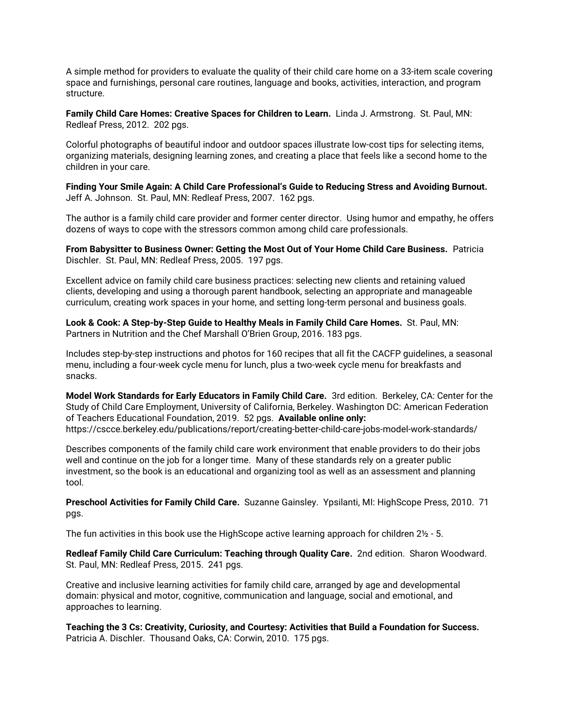A simple method for providers to evaluate the quality of their child care home on a 33-item scale covering space and furnishings, personal care routines, language and books, activities, interaction, and program structure.

**Family Child Care Homes: Creative Spaces for Children to Learn.** Linda J. Armstrong. St. Paul, MN: Redleaf Press, 2012. 202 pgs.

Colorful photographs of beautiful indoor and outdoor spaces illustrate low-cost tips for selecting items, organizing materials, designing learning zones, and creating a place that feels like a second home to the children in your care.

**Finding Your Smile Again: A Child Care Professional's Guide to Reducing Stress and Avoiding Burnout.** Jeff A. Johnson. St. Paul, MN: Redleaf Press, 2007. 162 pgs.

The author is a family child care provider and former center director. Using humor and empathy, he offers dozens of ways to cope with the stressors common among child care professionals.

**From Babysitter to Business Owner: Getting the Most Out of Your Home Child Care Business.** Patricia Dischler. St. Paul, MN: Redleaf Press, 2005. 197 pgs.

Excellent advice on family child care business practices: selecting new clients and retaining valued clients, developing and using a thorough parent handbook, selecting an appropriate and manageable curriculum, creating work spaces in your home, and setting long-term personal and business goals.

**Look & Cook: A Step-by-Step Guide to Healthy Meals in Family Child Care Homes.** St. Paul, MN: Partners in Nutrition and the Chef Marshall O'Brien Group, 2016. 183 pgs.

Includes step-by-step instructions and photos for 160 recipes that all fit the CACFP guidelines, a seasonal menu, including a four-week cycle menu for lunch, plus a two-week cycle menu for breakfasts and snacks.

**Model Work Standards for Early Educators in Family Child Care.** 3rd edition. Berkeley, CA: Center for the Study of Child Care Employment, University of California, Berkeley. Washington DC: American Federation of Teachers Educational Foundation, 2019. 52 pgs. **Available online only:** <https://cscce.berkeley.edu/publications/report/creating-better-child-care-jobs-model-work-standards/>

Describes components of the family child care work environment that enable providers to do their jobs well and continue on the job for a longer time. Many of these standards rely on a greater public investment, so the book is an educational and organizing tool as well as an assessment and planning tool.

**Preschool Activities for Family Child Care.** Suzanne Gainsley. Ypsilanti, MI: HighScope Press, 2010. 71 pgs.

The fun activities in this book use the HighScope active learning approach for children  $2\frac{1}{2}$  - 5.

**Redleaf Family Child Care Curriculum: Teaching through Quality Care.** 2nd edition. Sharon Woodward. St. Paul, MN: Redleaf Press, 2015. 241 pgs.

Creative and inclusive learning activities for family child care, arranged by age and developmental domain: physical and motor, cognitive, communication and language, social and emotional, and approaches to learning.

**Teaching the 3 Cs: Creativity, Curiosity, and Courtesy: Activities that Build a Foundation for Success.** Patricia A. Dischler. Thousand Oaks, CA: Corwin, 2010. 175 pgs.